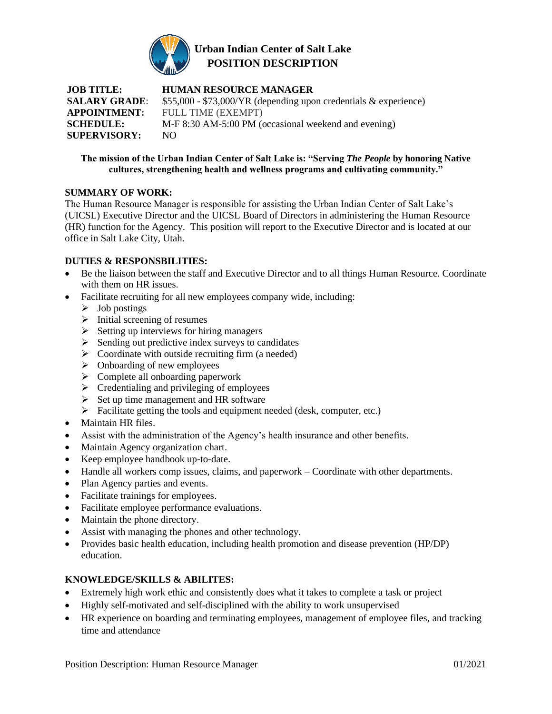

# **Urban Indian Center of Salt Lake POSITION DESCRIPTION**

**JOB TITLE: HUMAN RESOURCE MANAGER SALARY GRADE:** \$55,000 - \$73,000/YR (depending upon credentials & experience) **APPOINTMENT:** FULL TIME (EXEMPT) **SCHEDULE:** M-F 8:30 AM-5:00 PM (occasional weekend and evening) **SUPERVISORY:** NO

#### **The mission of the Urban Indian Center of Salt Lake is: "Serving** *The People* **by honoring Native cultures, strengthening health and wellness programs and cultivating community."**

### **SUMMARY OF WORK:**

The Human Resource Manager is responsible for assisting the Urban Indian Center of Salt Lake's (UICSL) Executive Director and the UICSL Board of Directors in administering the Human Resource (HR) function for the Agency. This position will report to the Executive Director and is located at our office in Salt Lake City, Utah.

### **DUTIES & RESPONSBILITIES:**

- Be the liaison between the staff and Executive Director and to all things Human Resource. Coordinate with them on HR issues.
- Facilitate recruiting for all new employees company wide, including:
	- $\triangleright$  Job postings
	- $\triangleright$  Initial screening of resumes
	- $\triangleright$  Setting up interviews for hiring managers
	- ➢ Sending out predictive index surveys to candidates
	- $\triangleright$  Coordinate with outside recruiting firm (a needed)
	- $\triangleright$  Onboarding of new employees
	- ➢ Complete all onboarding paperwork
	- $\triangleright$  Credentialing and privileging of employees
	- $\triangleright$  Set up time management and HR software
	- ➢ Facilitate getting the tools and equipment needed (desk, computer, etc.)
- Maintain HR files.
- Assist with the administration of the Agency's health insurance and other benefits.
- Maintain Agency organization chart.
- Keep employee handbook up-to-date.
- Handle all workers comp issues, claims, and paperwork Coordinate with other departments.
- Plan Agency parties and events.
- Facilitate trainings for employees.
- Facilitate employee performance evaluations.
- Maintain the phone directory.
- Assist with managing the phones and other technology.
- Provides basic health education, including health promotion and disease prevention (HP/DP) education.

## **KNOWLEDGE/SKILLS & ABILITES:**

- Extremely high work ethic and consistently does what it takes to complete a task or project
- Highly self-motivated and self-disciplined with the ability to work unsupervised
- HR experience on boarding and terminating employees, management of employee files, and tracking time and attendance